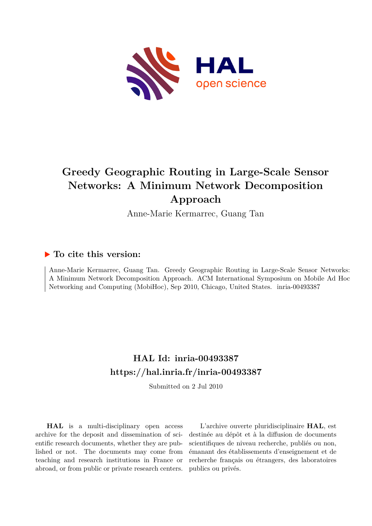

# **Greedy Geographic Routing in Large-Scale Sensor Networks: A Minimum Network Decomposition Approach**

Anne-Marie Kermarrec, Guang Tan

### **To cite this version:**

Anne-Marie Kermarrec, Guang Tan. Greedy Geographic Routing in Large-Scale Sensor Networks: A Minimum Network Decomposition Approach. ACM International Symposium on Mobile Ad Hoc Networking and Computing (MobiHoc), Sep 2010, Chicago, United States. inria-00493387

### **HAL Id: inria-00493387 <https://hal.inria.fr/inria-00493387>**

Submitted on 2 Jul 2010

**HAL** is a multi-disciplinary open access archive for the deposit and dissemination of scientific research documents, whether they are published or not. The documents may come from teaching and research institutions in France or abroad, or from public or private research centers.

L'archive ouverte pluridisciplinaire **HAL**, est destinée au dépôt et à la diffusion de documents scientifiques de niveau recherche, publiés ou non, émanant des établissements d'enseignement et de recherche français ou étrangers, des laboratoires publics ou privés.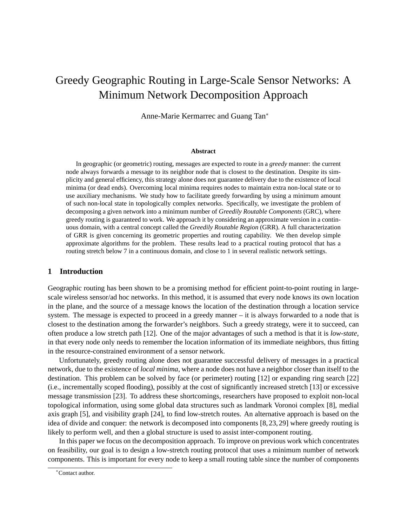## Greedy Geographic Routing in Large-Scale Sensor Networks: A Minimum Network Decomposition Approach

Anne-Marie Kermarrec and Guang Tan<sup>∗</sup>

#### **Abstract**

In geographic (or geometric) routing, messages are expected to route in a *greedy* manner: the current node always forwards a message to its neighbor node that is closest to the destination. Despite its simplicity and general efficiency, this strategy alone does not guarantee delivery due to the existence of local minima (or dead ends). Overcoming local minima requires nodes to maintain extra non-local state or to use auxiliary mechanisms. We study how to facilitate greedy forwarding by using a minimum amount of such non-local state in topologically complex networks. Specifically, we investigate the problem of decomposing a given network into a minimum number of *Greedily Routable Components* (GRC), where greedy routing is guaranteed to work. We approach it by considering an approximate version in a continuous domain, with a central concept called the *Greedily Routable Region* (GRR). A full characterization of GRR is given concerning its geometric properties and routing capability. We then develop simple approximate algorithms for the problem. These results lead to a practical routing protocol that has a routing stretch below 7 in a continuous domain, and close to 1 in several realistic network settings.

#### **1 Introduction**

Geographic routing has been shown to be a promising method for efficient point-to-point routing in largescale wireless sensor/ad hoc networks. In this method, it is assumed that every node knows its own location in the plane, and the source of a message knows the location of the destination through a location service system. The message is expected to proceed in a greedy manner – it is always forwarded to a node that is closest to the destination among the forwarder's neighbors. Such a greedy strategy, were it to succeed, can often produce a low stretch path [12]. One of the major advantages of such a method is that it is *low-state*, in that every node only needs to remember the location information of its immediate neighbors, thus fitting in the resource-constrained environment of a sensor network.

Unfortunately, greedy routing alone does not guarantee successful delivery of messages in a practical network, due to the existence of *local minima*, where a node does not have a neighbor closer than itself to the destination. This problem can be solved by face (or perimeter) routing [12] or expanding ring search [22] (i.e., incrementally scoped flooding), possibly at the cost of significantly increased stretch [13] or excessive message transmission [23]. To address these shortcomings, researchers have proposed to exploit non-local topological information, using some global data structures such as landmark Voronoi complex [8], medial axis graph [5], and visibility graph [24], to find low-stretch routes. An alternative approach is based on the idea of divide and conquer: the network is decomposed into components [8, 23, 29] where greedy routing is likely to perform well, and then a global structure is used to assist inter-component routing.

In this paper we focus on the decomposition approach. To improve on previous work which concentrates on feasibility, our goal is to design a low-stretch routing protocol that uses a minimum number of network components. This is important for every node to keep a small routing table since the number of components

<sup>∗</sup>Contact author.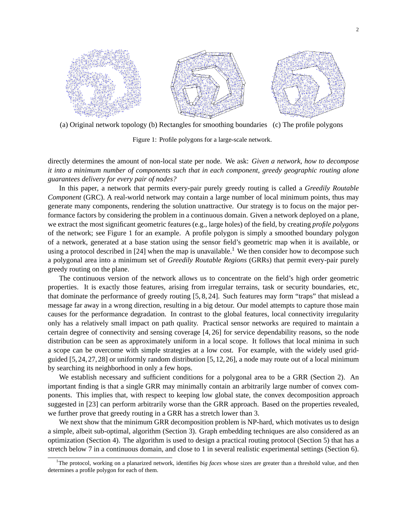

(a) Original network topology (b) Rectangles for smoothing boundaries (c) The profile polygons

Figure 1: Profile polygons for a large-scale network.

directly determines the amount of non-local state per node. We ask: *Given a network, how to decompose it into a minimum number of components such that in each component, greedy geographic routing alone guarantees delivery for every pair of nodes?*

In this paper, a network that permits every-pair purely greedy routing is called a *Greedily Routable Component* (GRC). A real-world network may contain a large number of local minimum points, thus may generate many components, rendering the solution unattractive. Our strategy is to focus on the major performance factors by considering the problem in a continuous domain. Given a network deployed on a plane, we extract the most significant geometric features (e.g., large holes) of the field, by creating *profile polygons* of the network; see Figure 1 for an example. A profile polygon is simply a smoothed boundary polygon of a network, generated at a base station using the sensor field's geometric map when it is available, or using a protocol described in [24] when the map is unavailable.<sup>1</sup> We then consider how to decompose such a polygonal area into a minimum set of *Greedily Routable Regions* (GRRs) that permit every-pair purely greedy routing on the plane.

The continuous version of the network allows us to concentrate on the field's high order geometric properties. It is exactly those features, arising from irregular terrains, task or security boundaries, etc, that dominate the performance of greedy routing [5, 8, 24]. Such features may form "traps" that mislead a message far away in a wrong direction, resulting in a big detour. Our model attempts to capture those main causes for the performance degradation. In contrast to the global features, local connectivity irregularity only has a relatively small impact on path quality. Practical sensor networks are required to maintain a certain degree of connectivity and sensing coverage [4, 26] for service dependability reasons, so the node distribution can be seen as approximately uniform in a local scope. It follows that local minima in such a scope can be overcome with simple strategies at a low cost. For example, with the widely used gridguided [5,24,27,28] or uniformly random distribution [5,12,26], a node may route out of a local minimum by searching its neighborhood in only a few hops.

We establish necessary and sufficient conditions for a polygonal area to be a GRR (Section 2). An important finding is that a single GRR may minimally contain an arbitrarily large number of convex components. This implies that, with respect to keeping low global state, the convex decomposition approach suggested in [23] can perform arbitrarily worse than the GRR approach. Based on the properties revealed, we further prove that greedy routing in a GRR has a stretch lower than 3.

We next show that the minimum GRR decomposition problem is NP-hard, which motivates us to design a simple, albeit sub-optimal, algorithm (Section 3). Graph embedding techniques are also considered as an optimization (Section 4). The algorithm is used to design a practical routing protocol (Section 5) that has a stretch below 7 in a continuous domain, and close to 1 in several realistic experimental settings (Section 6).

<sup>&</sup>lt;sup>1</sup>The protocol, working on a planarized network, identifies *big faces* whose sizes are greater than a threshold value, and then determines a profile polygon for each of them.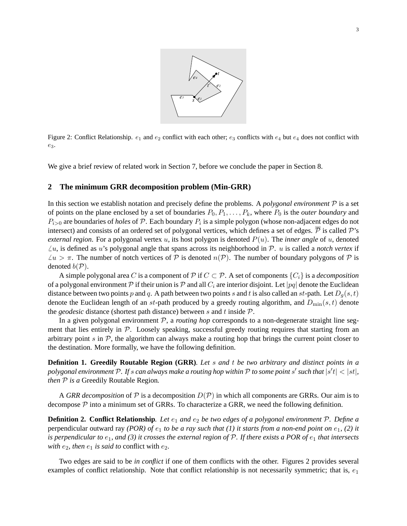

Figure 2: Conflict Relationship.  $e_1$  and  $e_2$  conflict with each other;  $e_3$  conflicts with  $e_4$  but  $e_4$  does not conflict with e3.

We give a brief review of related work in Section 7, before we conclude the paper in Section 8.

#### **2 The minimum GRR decomposition problem (Min-GRR)**

In this section we establish notation and precisely define the problems. A *polygonal environment* P is a set of points on the plane enclosed by a set of boundaries  $P_0, P_1, \ldots, P_k$ , where  $P_0$  is the *outer boundary* and  $P_{i>0}$  are boundaries of *holes* of P. Each boundary  $P_i$  is a simple polygon (whose non-adjacent edges do not intersect) and consists of an ordered set of polygonal vertices, which defines a set of edges.  $\overline{P}$  is called P's *external region*. For a polygonal vertex u, its host polygon is denoted  $P(u)$ . The *inner angle* of u, denoted  $\angle u$ , is defined as u's polygonal angle that spans across its neighborhood in P. u is called a *notch vertex* if  $\ell u > \pi$ . The number of notch vertices of P is denoted  $n(\mathcal{P})$ . The number of boundary polygons of P is denoted  $b(\mathcal{P})$ .

A simple polygonal area C is a component of P if  $C \subset \mathcal{P}$ . A set of components  $\{C_i\}$  is a *decomposition* of a polygonal environment P if their union is P and all  $C_i$  are interior disjoint. Let |pq| denote the Euclidean distance between two points p and q. A path between two points s and t is also called an st-path. Let  $D_q(s, t)$ denote the Euclidean length of an st-path produced by a greedy routing algorithm, and  $D_{\min}(s, t)$  denote the *geodesic* distance (shortest path distance) between s and t inside  $P$ .

In a given polygonal environment  $P$ , a *routing hop* corresponds to a non-degenerate straight line segment that lies entirely in  $\mathcal{P}$ . Loosely speaking, successful greedy routing requires that starting from an arbitrary point s in  $\mathcal{P}$ , the algorithm can always make a routing hop that brings the current point closer to the destination. More formally, we have the following definition.

**Definition 1. Greedily Routable Region (GRR)***. Let* s *and* t *be two arbitrary and distinct points in a* polygonal environment P. If  $s$  can always make a routing hop within P to some point  $s'$  such that  $|s't| < |st|$ , *then* P *is a* Greedily Routable Region*.*

A *GRR decomposition* of P is a decomposition  $D(P)$  in which all components are GRRs. Our aim is to decompose  $P$  into a minimum set of GRRs. To characterize a GRR, we need the following definition.

**Definition 2. Conflict Relationship**. Let  $e_1$  and  $e_2$  be two edges of a polygonal environment P. Define a perpendicular outward ray *(POR)* of  $e_1$  to be a ray such that (1) it starts from a non-end point on  $e_1$ , (2) it *is perpendicular to*  $e_1$ *, and* (3) it crosses the external region of  $P$ *. If there exists a POR of*  $e_1$  *that intersects with*  $e_2$ *, then*  $e_1$  *is said to* conflict with  $e_2$ *.* 

Two edges are said to be *in conflict* if one of them conflicts with the other. Figures 2 provides several examples of conflict relationship. Note that conflict relationship is not necessarily symmetric; that is,  $e_1$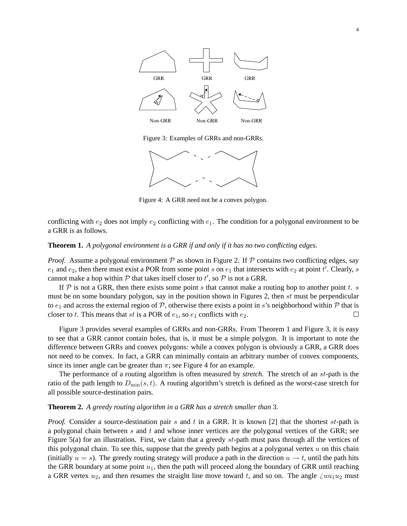

Figure 3: Examples of GRRs and non-GRRs.



Figure 4: A GRR need not be a convex polygon.

conflicting with  $e_2$  does not imply  $e_2$  conflicting with  $e_1$ . The condition for a polygonal environment to be a GRR is as follows.

#### **Theorem 1.** *A polygonal environment is a GRR if and only if it has no two conflicting edges.*

*Proof.* Assume a polygonal environment  $\mathcal P$  as shown in Figure 2. If  $\mathcal P$  contains two conflicting edges, say  $e_1$  and  $e_2$ , then there must exist a POR from some point s on  $e_1$  that intersects with  $e_2$  at point t'. Clearly, s cannot make a hop within  $P$  that takes itself closer to  $t'$ , so  $P$  is not a GRR.

If  $P$  is not a GRR, then there exists some point s that cannot make a routing hop to another point t. s must be on some boundary polygon, say in the position shown in Figures 2, then st must be perpendicular to  $e_1$  and across the external region of P, otherwise there exists a point in s's neighborhood within P that is closer to t. This means that st is a POR of  $e_1$ , so  $e_1$  conflicts with  $e_2$ .  $\Box$ 

Figure 3 provides several examples of GRRs and non-GRRs. From Theorem 1 and Figure 3, it is easy to see that a GRR cannot contain holes, that is, it must be a simple polygon. It is important to note the difference between GRRs and convex polygons: while a convex polygon is obviously a GRR, a GRR does not need to be convex. In fact, a GRR can minimally contain an arbitrary number of convex components, since its inner angle can be greater than  $\pi$ ; see Figure 4 for an example.

The performance of a routing algorithm is often measured by *stretch*. The stretch of an st-path is the ratio of the path length to  $D_{\min}(s, t)$ . A routing algorithm's stretch is defined as the worst-case stretch for all possible source-destination pairs.

#### **Theorem 2.** *A greedy routing algorithm in a GRR has a stretch smaller than* 3*.*

*Proof.* Consider a source-destination pair s and t in a GRR. It is known [2] that the shortest st-path is a polygonal chain between  $s$  and  $t$  and whose inner vertices are the polygonal vertices of the GRR; see Figure 5(a) for an illustration. First, we claim that a greedy  $st$ -path must pass through all the vertices of this polygonal chain. To see this, suppose that the greedy path begins at a polygonal vertex  $u$  on this chain (initially  $u = s$ ). The greedy routing strategy will produce a path in the direction  $u \rightarrow t$ , until the path hits the GRR boundary at some point  $u_1$ , then the path will proceed along the boundary of GRR until reaching a GRR vertex  $u_2$ , and then resumes the straight line move toward t, and so on. The angle  $\angle uu_1u_2$  must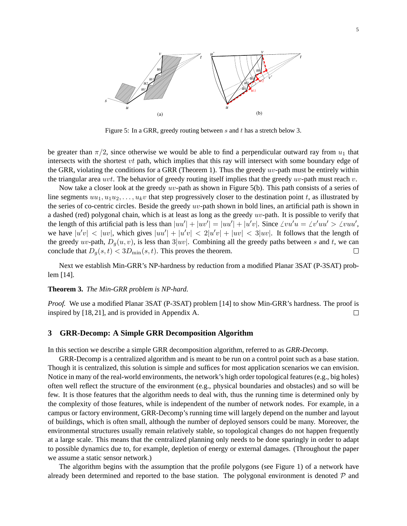

Figure 5: In a GRR, greedy routing between s and t has a stretch below 3.

be greater than  $\pi/2$ , since otherwise we would be able to find a perpendicular outward ray from  $u_1$  that intersects with the shortest  $vt$  path, which implies that this ray will intersect with some boundary edge of the GRR, violating the conditions for a GRR (Theorem 1). Thus the greedy  $uv$ -path must be entirely within the triangular area *uvt*. The behavior of greedy routing itself implies that the greedy *uv*-path must reach  $v$ .

Now take a closer look at the greedy  $uv$ -path as shown in Figure 5(b). This path consists of a series of line segments  $uu_1, u_1u_2, \ldots, u_kv$  that step progressively closer to the destination point t, as illustrated by the series of co-centric circles. Beside the greedy  $uv$ -path shown in bold lines, an artificial path is shown in a dashed (red) polygonal chain, which is at least as long as the greedy  $uv$ -path. It is possible to verify that the length of this artificial path is less than  $|uu'| + |uv'| = |uu'| + |u'v|$ . Since  $\angle vu'u = \angle v'uu' > \angle vuu'$ , we have  $|u'v| < |uv|$ , which gives  $|uu'| + |u'v| < 2|u'v| + |uv| < 3|uv|$ . It follows that the length of the greedy uv-path,  $D_g(u, v)$ , is less than  $3|uv|$ . Combining all the greedy paths between s and t, we can conclude that  $D_g(s, t) < 3D_{\min}(s, t)$ . This proves the theorem.  $\Box$ 

Next we establish Min-GRR's NP-hardness by reduction from a modified Planar 3SAT (P-3SAT) problem [14].

#### **Theorem 3.** *The Min-GRR problem is NP-hard.*

*Proof.* We use a modified Planar 3SAT (P-3SAT) problem [14] to show Min-GRR's hardness. The proof is inspired by [18, 21], and is provided in Appendix A.  $\Box$ 

#### **3 GRR-Decomp: A Simple GRR Decomposition Algorithm**

In this section we describe a simple GRR decomposition algorithm, referred to as *GRR-Decomp*.

GRR-Decomp is a centralized algorithm and is meant to be run on a control point such as a base station. Though it is centralized, this solution is simple and suffices for most application scenarios we can envision. Notice in many of the real-world environments, the network's high order topological features (e.g., big holes) often well reflect the structure of the environment (e.g., physical boundaries and obstacles) and so will be few. It is those features that the algorithm needs to deal with, thus the running time is determined only by the complexity of those features, while is independent of the number of network nodes. For example, in a campus or factory environment, GRR-Decomp's running time will largely depend on the number and layout of buildings, which is often small, although the number of deployed sensors could be many. Moreover, the environmental structures usually remain relatively stable, so topological changes do not happen frequently at a large scale. This means that the centralized planning only needs to be done sparingly in order to adapt to possible dynamics due to, for example, depletion of energy or external damages. (Throughout the paper we assume a static sensor network.)

The algorithm begins with the assumption that the profile polygons (see Figure 1) of a network have already been determined and reported to the base station. The polygonal environment is denoted  $\mathcal P$  and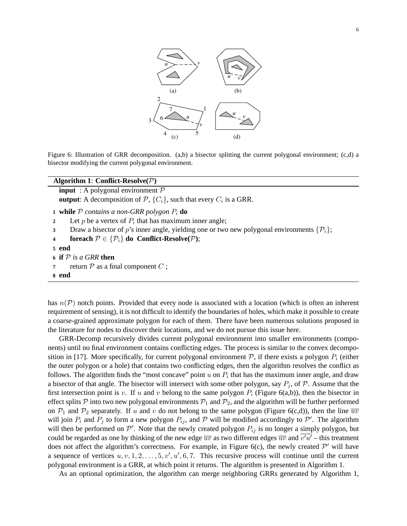

Figure 6: Illustration of GRR decomposition. (a,b) a bisector splitting the current polygonal environment; (c,d) a bisector modifying the current polygonal environment.

| Algorithm 1: Conflict-Resolve $(\mathcal{P})$                                                                 |
|---------------------------------------------------------------------------------------------------------------|
| <b>input</b> : A polygonal environment $P$                                                                    |
| <b>output:</b> A decomposition of $P$ , $\{C_i\}$ , such that every $C_i$ is a GRR.                           |
| 1 while $P$ contains a non-GRR polygon $P_i$ do                                                               |
| Let $p$ be a vertex of $P_i$ that has maximum inner angle;<br>2                                               |
| Draw a bisector of p's inner angle, yielding one or two new polygonal environments $\{\mathcal{P}_i\}$ ;<br>3 |
| foreach $P \in \{P_i\}$ do Conflict-Resolve(P);<br>$\overline{\mathbf{4}}$                                    |
| 5 end                                                                                                         |
| 6 if $P$ is a GRR then                                                                                        |
| return $P$ as a final component $C$ ;<br>$\overline{7}$                                                       |
| 8 end                                                                                                         |

has  $n(\mathcal{P})$  notch points. Provided that every node is associated with a location (which is often an inherent requirement of sensing), it is not difficult to identify the boundaries of holes, which make it possible to create a coarse-grained approximate polygon for each of them. There have been numerous solutions proposed in the literature for nodes to discover their locations, and we do not pursue this issue here.

GRR-Decomp recursively divides current polygonal environment into smaller environments (components) until no final environment contains conflicting edges. The process is similar to the convex decomposition in [17]. More specifically, for current polygonal environment  $P$ , if there exists a polygon  $P_i$  (either the outer polygon or a hole) that contains two conflicting edges, then the algorithm resolves the conflict as follows. The algorithm finds the "most concave" point  $u$  on  $P_i$  that has the maximum inner angle, and draw a bisector of that angle. The bisector will intersect with some other polygon, say  $P_i$ , of  $P$ . Assume that the first intersection point is v. If u and v belong to the same polygon  $P_i$  (Figure 6(a,b)), then the bisector in effect splits  $P$  into two new polygonal environments  $P_1$  and  $P_2$ , and the algorithm will be further performed on  $\mathcal{P}_1$  and  $\mathcal{P}_2$  separately. If u and v do not belong to the same polygon (Figure 6(c,d)), then the line  $\overline{uv}$ will join  $P_i$  and  $P_j$  to form a new polygon  $P_{ij}$ , and P will be modified accordingly to P'. The algorithm will then be performed on  $\mathcal{P}'$ . Note that the newly created polygon  $P_{ij}$  is no longer a simply polygon, but could be regarded as one by thinking of the new edge  $\overline{uv}$  as two different edges  $\overline{uv}$  and  $\overline{v'u'}$  – this treatment does not affect the algorithm's correctness. For example, in Figure 6(c), the newly created  $\mathcal{P}'$  will have a sequence of vertices  $u, v, 1, 2, \ldots, 5, v', u', 6, 7$ . This recursive process will continue until the current polygonal environment is a GRR, at which point it returns. The algorithm is presented in Algorithm 1.

As an optional optimization, the algorithm can merge neighboring GRRs generated by Algorithm 1,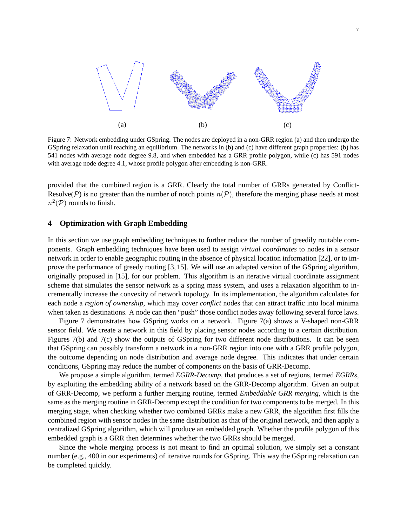

Figure 7: Network embedding under GSpring. The nodes are deployed in a non-GRR region (a) and then undergo the GSpring relaxation until reaching an equilibrium. The networks in (b) and (c) have different graph properties: (b) has 541 nodes with average node degree 9.8, and when embedded has a GRR profile polygon, while (c) has 591 nodes with average node degree 4.1, whose profile polygon after embedding is non-GRR.

provided that the combined region is a GRR. Clearly the total number of GRRs generated by Conflict-Resolve(P) is no greater than the number of notch points  $n(P)$ , therefore the merging phase needs at most  $n^2(\mathcal{P})$  rounds to finish.

#### **4 Optimization with Graph Embedding**

In this section we use graph embedding techniques to further reduce the number of greedily routable components. Graph embedding techniques have been used to assign *virtual coordinates* to nodes in a sensor network in order to enable geographic routing in the absence of physical location information [22], or to improve the performance of greedy routing [3, 15]. We will use an adapted version of the GSpring algorithm, originally proposed in [15], for our problem. This algorithm is an iterative virtual coordinate assignment scheme that simulates the sensor network as a spring mass system, and uses a relaxation algorithm to incrementally increase the convexity of network topology. In its implementation, the algorithm calculates for each node a *region of ownership*, which may cover *conflict* nodes that can attract traffic into local minima when taken as destinations. A node can then "push" those conflict nodes away following several force laws.

Figure 7 demonstrates how GSpring works on a network. Figure 7(a) shows a V-shaped non-GRR sensor field. We create a network in this field by placing sensor nodes according to a certain distribution. Figures 7(b) and 7(c) show the outputs of GSpring for two different node distributions. It can be seen that GSpring can possibly transform a network in a non-GRR region into one with a GRR profile polygon, the outcome depending on node distribution and average node degree. This indicates that under certain conditions, GSpring may reduce the number of components on the basis of GRR-Decomp.

We propose a simple algorithm, termed *EGRR-Decomp*, that produces a set of regions, termed *EGRRs*, by exploiting the embedding ability of a network based on the GRR-Decomp algorithm. Given an output of GRR-Decomp, we perform a further merging routine, termed *Embeddable GRR merging*, which is the same as the merging routine in GRR-Decomp except the condition for two components to be merged. In this merging stage, when checking whether two combined GRRs make a new GRR, the algorithm first fills the combined region with sensor nodes in the same distribution as that of the original network, and then apply a centralized GSpring algorithm, which will produce an embedded graph. Whether the profile polygon of this embedded graph is a GRR then determines whether the two GRRs should be merged.

Since the whole merging process is not meant to find an optimal solution, we simply set a constant number (e.g., 400 in our experiments) of iterative rounds for GSpring. This way the GSpring relaxation can be completed quickly.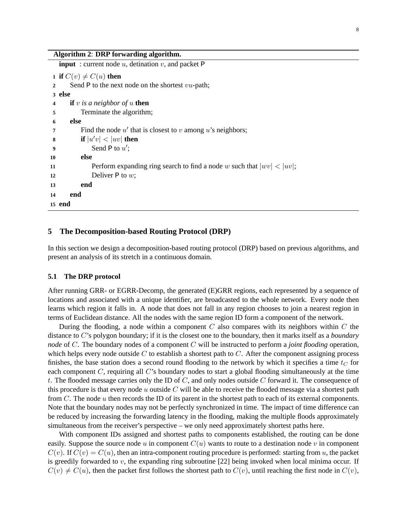|    | <b>input</b> : current node $u$ , detination $v$ , and packet P          |
|----|--------------------------------------------------------------------------|
|    | 1 if $C(v) \neq C(u)$ then                                               |
| 2  | Send $P$ to the next node on the shortest $vu$ -path;                    |
|    | 3 else                                                                   |
| 4  | <b>if</b> v is a neighbor of u <b>then</b>                               |
| 5  | Terminate the algorithm;                                                 |
| 6  | else                                                                     |
| 7  | Find the node $u'$ that is closest to $v$ among $u'$ s neighbors;        |
| 8  | if $ u'v  <  uv $ then                                                   |
| 9  | Send P to $u'$ ;                                                         |
| 10 | else                                                                     |
| 11 | Perform expanding ring search to find a node w such that $ wv  <  uv $ ; |
| 12 | Deliver $P$ to $w$ ;                                                     |
| 13 | end                                                                      |
| 14 | end                                                                      |
|    | 15 end                                                                   |
|    |                                                                          |

#### **5 The Decomposition-based Routing Protocol (DRP)**

**Algorithm 2**: **DRP forwarding algorithm.**

In this section we design a decomposition-based routing protocol (DRP) based on previous algorithms, and present an analysis of its stretch in a continuous domain.

#### **5.1 The DRP protocol**

After running GRR- or EGRR-Decomp, the generated (E)GRR regions, each represented by a sequence of locations and associated with a unique identifier, are broadcasted to the whole network. Every node then learns which region it falls in. A node that does not fall in any region chooses to join a nearest region in terms of Euclidean distance. All the nodes with the same region ID form a component of the network.

During the flooding, a node within a component  $C$  also compares with its neighbors within  $C$  the distance to C's polygon boundary; if it is the closest one to the boundary, then it marks itself as a *boundary node* of C. The boundary nodes of a component C will be instructed to perform a *joint flooding* operation, which helps every node outside  $C$  to establish a shortest path to  $C$ . After the component assigning process finishes, the base station does a second round flooding to the network by which it specifies a time  $t_C$  for each component C, requiring all C's boundary nodes to start a global flooding simultaneously at the time t. The flooded message carries only the ID of  $C$ , and only nodes outside  $C$  forward it. The consequence of this procedure is that every node u outside C will be able to receive the flooded message via a shortest path from  $C$ . The node u then records the ID of its parent in the shortest path to each of its external components. Note that the boundary nodes may not be perfectly synchronized in time. The impact of time difference can be reduced by increasing the forwarding latency in the flooding, making the multiple floods approximately simultaneous from the receiver's perspective – we only need approximately shortest paths here.

With component IDs assigned and shortest paths to components established, the routing can be done easily. Suppose the source node u in component  $C(u)$  wants to route to a destination node v in component  $C(v)$ . If  $C(v) = C(u)$ , then an intra-component routing procedure is performed: starting from u, the packet is greedily forwarded to  $v$ , the expanding ring subroutine [22] being invoked when local minima occur. If  $C(v) \neq C(u)$ , then the packet first follows the shortest path to  $C(v)$ , until reaching the first node in  $C(v)$ ,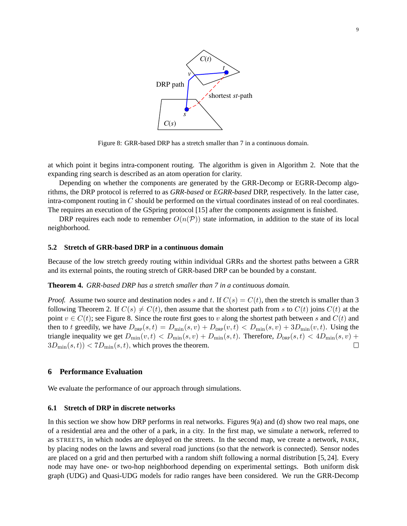

Figure 8: GRR-based DRP has a stretch smaller than 7 in a continuous domain.

at which point it begins intra-component routing. The algorithm is given in Algorithm 2. Note that the expanding ring search is described as an atom operation for clarity.

Depending on whether the components are generated by the GRR-Decomp or EGRR-Decomp algorithms, the DRP protocol is referred to as *GRR-based* or *EGRR-based* DRP, respectively. In the latter case, intra-component routing in C should be performed on the virtual coordinates instead of on real coordinates. The requires an execution of the GSpring protocol [15] after the components assignment is finished.

DRP requires each node to remember  $O(n(\mathcal{P}))$  state information, in addition to the state of its local neighborhood.

#### **5.2 Stretch of GRR-based DRP in a continuous domain**

Because of the low stretch greedy routing within individual GRRs and the shortest paths between a GRR and its external points, the routing stretch of GRR-based DRP can be bounded by a constant.

**Theorem 4.** *GRR-based DRP has a stretch smaller than 7 in a continuous domain.*

*Proof.* Assume two source and destination nodes s and t. If  $C(s) = C(t)$ , then the stretch is smaller than 3 following Theorem 2. If  $C(s) \neq C(t)$ , then assume that the shortest path from s to  $C(t)$  joins  $C(t)$  at the point  $v \in C(t)$ ; see Figure 8. Since the route first goes to v along the shortest path between s and  $C(t)$  and then to t greedily, we have  $D_{DRP}(s,t) = D_{min}(s,v) + D_{DRP}(v,t) < D_{min}(s,v) + 3D_{min}(v,t)$ . Using the triangle inequality we get  $D_{\min}(v, t) < D_{\min}(s, v) + D_{\min}(s, t)$ . Therefore,  $D_{DRP}(s, t) < 4D_{\min}(s, v) +$  $3D_{\min}(s,t)$  <  $7D_{\min}(s,t)$ , which proves the theorem.

#### **6 Performance Evaluation**

We evaluate the performance of our approach through simulations.

#### **6.1 Stretch of DRP in discrete networks**

In this section we show how DRP performs in real networks. Figures 9(a) and (d) show two real maps, one of a residential area and the other of a park, in a city. In the first map, we simulate a network, referred to as STREETS, in which nodes are deployed on the streets. In the second map, we create a network, PARK, by placing nodes on the lawns and several road junctions (so that the network is connected). Sensor nodes are placed on a grid and then perturbed with a random shift following a normal distribution [5, 24]. Every node may have one- or two-hop neighborhood depending on experimental settings. Both uniform disk graph (UDG) and Quasi-UDG models for radio ranges have been considered. We run the GRR-Decomp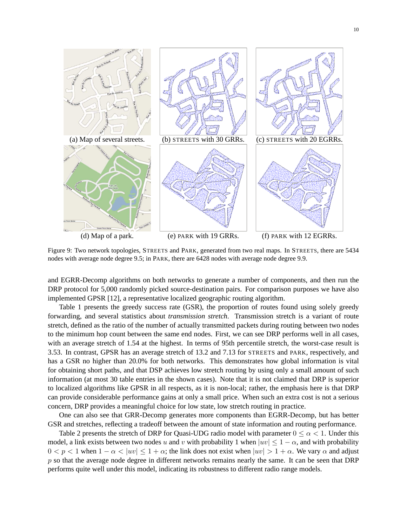

Figure 9: Two network topologies, STREETS and PARK, generated from two real maps. In STREETS, there are 5434 nodes with average node degree 9.5; in PARK, there are 6428 nodes with average node degree 9.9.

and EGRR-Decomp algorithms on both networks to generate a number of components, and then run the DRP protocol for 5,000 randomly picked source-destination pairs. For comparison purposes we have also implemented GPSR [12], a representative localized geographic routing algorithm.

Table 1 presents the greedy success rate (GSR), the proportion of routes found using solely greedy forwarding, and several statistics about *transmission stretch*. Transmission stretch is a variant of route stretch, defined as the ratio of the number of actually transmitted packets during routing between two nodes to the minimum hop count between the same end nodes. First, we can see DRP performs well in all cases, with an average stretch of 1.54 at the highest. In terms of 95th percentile stretch, the worst-case result is 3.53. In contrast, GPSR has an average stretch of 13.2 and 7.13 for STREETS and PARK, respectively, and has a GSR no higher than 20.0% for both networks. This demonstrates how global information is vital for obtaining short paths, and that DSP achieves low stretch routing by using only a small amount of such information (at most 30 table entries in the shown cases). Note that it is not claimed that DRP is superior to localized algorithms like GPSR in all respects, as it is non-local; rather, the emphasis here is that DRP can provide considerable performance gains at only a small price. When such an extra cost is not a serious concern, DRP provides a meaningful choice for low state, low stretch routing in practice.

One can also see that GRR-Decomp generates more components than EGRR-Decomp, but has better GSR and stretches, reflecting a tradeoff between the amount of state information and routing performance.

Table 2 presents the stretch of DRP for Quasi-UDG radio model with parameter  $0 \le \alpha \le 1$ . Under this model, a link exists between two nodes u and v with probability 1 when  $|uv| \leq 1 - \alpha$ , and with probability  $0 < p < 1$  when  $1 - \alpha < |uv| \leq 1 + \alpha$ ; the link does not exist when  $|uv| > 1 + \alpha$ . We vary  $\alpha$  and adjust  $p$  so that the average node degree in different networks remains nearly the same. It can be seen that DRP performs quite well under this model, indicating its robustness to different radio range models.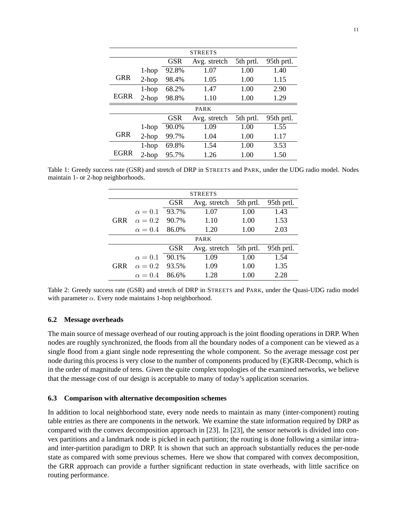| <b>STREETS</b> |          |            |              |           |            |  |  |
|----------------|----------|------------|--------------|-----------|------------|--|--|
|                |          | <b>GSR</b> | Avg. stretch | 5th prtl. | 95th prtl. |  |  |
|                | $1-hop$  | 92.8%      | 1.07         | 1.00      | 1.40       |  |  |
| <b>GRR</b>     | $2-hop$  | 98.4%      | 1.05         | 1.00      | 1.15       |  |  |
|                | $1$ -hop | 68.2%      | 1.47         | 1.00      | 2.90       |  |  |
| <b>EGRR</b>    | $2-hop$  | 98.8%      | 1.10         | 1.00      | 1.29       |  |  |
| PARK           |          |            |              |           |            |  |  |
|                |          | GSR        | Avg. stretch | 5th prtl. | 95th prtl. |  |  |
|                | $1$ -hop | 90.0%      | 1.09         | 1.00      | 1.55       |  |  |
| <b>GRR</b>     | $2-hop$  | 99.7%      | 1.04         | 1.00      | 1.17       |  |  |
|                | $1$ -hop | 69.8%      | 1.54         | 1.00      | 3.53       |  |  |
| <b>EGRR</b>    | $2-hop$  | 95.7%      | 1.26         | 1.00      | 1.50       |  |  |

Table 1: Greedy success rate (GSR) and stretch of DRP in STREETS and PARK, under the UDG radio model. Nodes maintain 1- or 2-hop neighborhoods.

| <b>STREETS</b> |                |            |              |           |            |  |  |  |
|----------------|----------------|------------|--------------|-----------|------------|--|--|--|
|                |                | <b>GSR</b> | Avg. stretch | 5th prtl. | 95th prtl. |  |  |  |
|                | $\alpha=0.1$   | 93.7%      | 1.07         | 1.00      | 1.43       |  |  |  |
| <b>GRR</b>     | $\alpha = 0.2$ | 90.7%      | 1.10         | 1.00      | 1.53       |  |  |  |
|                | $\alpha = 0.4$ | 86.0%      | 1.20         | 1.00      | 2.03       |  |  |  |
| PARK           |                |            |              |           |            |  |  |  |
|                |                | <b>GSR</b> | Avg. stretch | 5th prtl. | 95th prtl. |  |  |  |
|                | $\alpha=0.1$   | 90.1%      | 1.09         | 1.00      | 1.54       |  |  |  |
| <b>GRR</b>     | $\alpha = 0.2$ | 93.5%      | 1.09         | 1.00      | 1.35       |  |  |  |
|                | $\alpha = 0.4$ | 86.6%      | 1.28         | 1.00      | 2.28       |  |  |  |

Table 2: Greedy success rate (GSR) and stretch of DRP in STREETS and PARK, under the Quasi-UDG radio model with parameter  $\alpha$ . Every node maintains 1-hop neighborhood.

#### **6.2 Message overheads**

The main source of message overhead of our routing approach is the joint flooding operations in DRP. When nodes are roughly synchronized, the floods from all the boundary nodes of a component can be viewed as a single flood from a giant single node representing the whole component. So the average message cost per node during this process is very close to the number of components produced by (E)GRR-Decomp, which is in the order of magnitude of tens. Given the quite complex topologies of the examined networks, we believe that the message cost of our design is acceptable to many of today's application scenarios.

#### **6.3 Comparison with alternative decomposition schemes**

In addition to local neighborhood state, every node needs to maintain as many (inter-component) routing table entries as there are components in the network. We examine the state information required by DRP as compared with the convex decomposition approach in [23]. In [23], the sensor network is divided into convex partitions and a landmark node is picked in each partition; the routing is done following a similar intraand inter-partition paradigm to DRP. It is shown that such an approach substantially reduces the per-node state as compared with some previous schemes. Here we show that compared with convex decomposition, the GRR approach can provide a further significant reduction in state overheads, with little sacrifice on routing performance.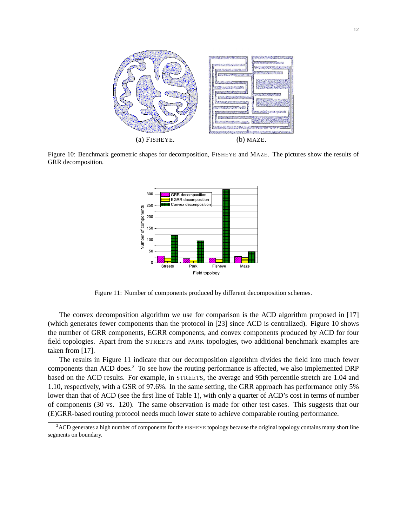

Figure 10: Benchmark geometric shapes for decomposition, FISHEYE and MAZE. The pictures show the results of GRR decomposition.



Figure 11: Number of components produced by different decomposition schemes.

The convex decomposition algorithm we use for comparison is the ACD algorithm proposed in [17] (which generates fewer components than the protocol in [23] since ACD is centralized). Figure 10 shows the number of GRR components, EGRR components, and convex components produced by ACD for four field topologies. Apart from the STREETS and PARK topologies, two additional benchmark examples are taken from [17].

The results in Figure 11 indicate that our decomposition algorithm divides the field into much fewer components than ACD does.<sup>2</sup> To see how the routing performance is affected, we also implemented DRP based on the ACD results. For example, in STREETS, the average and 95th percentile stretch are 1.04 and 1.10, respectively, with a GSR of 97.6%. In the same setting, the GRR approach has performance only 5% lower than that of ACD (see the first line of Table 1), with only a quarter of ACD's cost in terms of number of components (30 vs. 120). The same observation is made for other test cases. This suggests that our (E)GRR-based routing protocol needs much lower state to achieve comparable routing performance.

<sup>&</sup>lt;sup>2</sup>ACD generates a high number of components for the FISHEYE topology because the original topology contains many short line segments on boundary.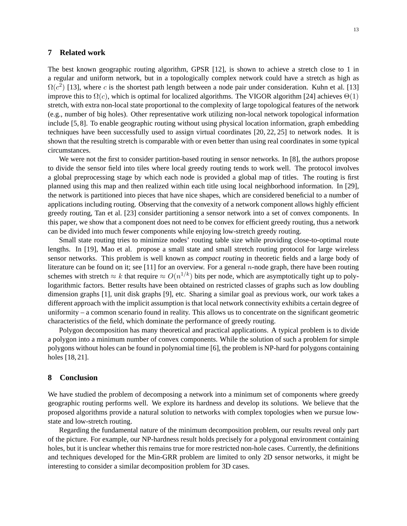#### **7 Related work**

The best known geographic routing algorithm, GPSR [12], is shown to achieve a stretch close to 1 in a regular and uniform network, but in a topologically complex network could have a stretch as high as  $\Omega(c^2)$  [13], where c is the shortest path length between a node pair under consideration. Kuhn et al. [13] improve this to  $\Omega(c)$ , which is optimal for localized algorithms. The VIGOR algorithm [24] achieves  $\Theta(1)$ stretch, with extra non-local state proportional to the complexity of large topological features of the network (e.g., number of big holes). Other representative work utilizing non-local network topological information include [5, 8]. To enable geographic routing without using physical location information, graph embedding techniques have been successfully used to assign virtual coordinates [20, 22, 25] to network nodes. It is shown that the resulting stretch is comparable with or even better than using real coordinates in some typical circumstances.

We were not the first to consider partition-based routing in sensor networks. In [8], the authors propose to divide the sensor field into tiles where local greedy routing tends to work well. The protocol involves a global preprocessing stage by which each node is provided a global map of titles. The routing is first planned using this map and then realized within each title using local neighborhood information. In [29], the network is partitioned into pieces that have nice shapes, which are considered beneficial to a number of applications including routing. Observing that the convexity of a network component allows highly efficient greedy routing, Tan et al. [23] consider partitioning a sensor network into a set of convex components. In this paper, we show that a component does not need to be convex for efficient greedy routing, thus a network can be divided into much fewer components while enjoying low-stretch greedy routing.

Small state routing tries to minimize nodes' routing table size while providing close-to-optimal route lengths. In [19], Mao et al. propose a small state and small stretch routing protocol for large wireless sensor networks. This problem is well known as *compact routing* in theoretic fields and a large body of literature can be found on it; see [11] for an overview. For a general  $n$ -node graph, there have been routing schemes with stretch  $\approx k$  that require  $\approx O(n^{1/k})$  bits per node, which are asymptotically tight up to polylogarithmic factors. Better results have been obtained on restricted classes of graphs such as low doubling dimension graphs [1], unit disk graphs [9], etc. Sharing a similar goal as previous work, our work takes a different approach with the implicit assumption is that local network connectivity exhibits a certain degree of uniformity – a common scenario found in reality. This allows us to concentrate on the significant geometric characteristics of the field, which dominate the performance of greedy routing.

Polygon decomposition has many theoretical and practical applications. A typical problem is to divide a polygon into a minimum number of convex components. While the solution of such a problem for simple polygons without holes can be found in polynomial time [6], the problem is NP-hard for polygons containing holes [18, 21].

#### **8 Conclusion**

We have studied the problem of decomposing a network into a minimum set of components where greedy geographic routing performs well. We explore its hardness and develop its solutions. We believe that the proposed algorithms provide a natural solution to networks with complex topologies when we pursue lowstate and low-stretch routing.

Regarding the fundamental nature of the minimum decomposition problem, our results reveal only part of the picture. For example, our NP-hardness result holds precisely for a polygonal environment containing holes, but it is unclear whether this remains true for more restricted non-hole cases. Currently, the definitions and techniques developed for the Min-GRR problem are limited to only 2D sensor networks, it might be interesting to consider a similar decomposition problem for 3D cases.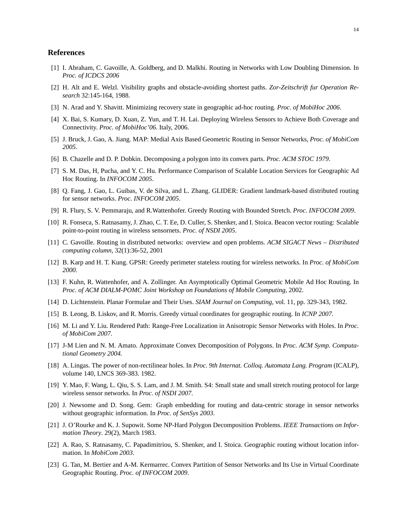#### **References**

- [1] I. Abraham, C. Gavoille, A. Goldberg, and D. Malkhi. Routing in Networks with Low Doubling Dimension. In *Proc. of ICDCS 2006*
- [2] H. Alt and E. Welzl. Visibility graphs and obstacle-avoiding shortest paths. *Zor-Zeitschrift fur Operation Research* 32:145-164, 1988.
- [3] N. Arad and Y. Shavitt. Minimizing recovery state in geographic ad-hoc routing. *Proc. of MobiHoc 2006*.
- [4] X. Bai, S. Kumary, D. Xuan, Z. Yun, and T. H. Lai. Deploying Wireless Sensors to Achieve Both Coverage and Connectivity. *Proc. of MobiHoc'06*. Italy, 2006.
- [5] J. Bruck, J. Gao, A. Jiang. MAP: Medial Axis Based Geometric Routing in Sensor Networks, *Proc. of MobiCom 2005*.
- [6] B. Chazelle and D. P. Dobkin. Decomposing a polygon into its convex parts. *Proc. ACM STOC 1979*.
- [7] S. M. Das, H, Pucha, and Y. C. Hu. Performance Comparison of Scalable Location Services for Geographic Ad Hoc Routing. In *INFOCOM 2005*.
- [8] Q. Fang, J. Gao, L. Guibas, V. de Silva, and L. Zhang. GLIDER: Gradient landmark-based distributed routing for sensor networks. *Proc. INFOCOM 2005*.
- [9] R. Flury, S. V. Pemmaraju, and R.Wattenhofer. Greedy Routing with Bounded Stretch. *Proc. INFOCOM 2009*.
- [10] R. Fonseca, S. Ratnasamy, J. Zhao, C. T. Ee, D. Culler, S. Shenker, and I. Stoica. Beacon vector routing: Scalable point-to-point routing in wireless sensornets. *Proc. of NSDI 2005*.
- [11] C. Gavoille. Routing in distributed networks: overview and open problems. *ACM SIGACT News Distributed computing column*, 32(1):36-52, 2001
- [12] B. Karp and H. T. Kung. GPSR: Greedy perimeter stateless routing for wireless networks. In *Proc. of MobiCom 2000*.
- [13] F. Kuhn, R. Wattenhofer, and A. Zollinger. An Asymptotically Optimal Geometric Mobile Ad Hoc Routing. In *Proc. of ACM DIALM-POMC Joint Workshop on Foundations of Mobile Computing*, 2002.
- [14] D. Lichtenstein. Planar Formulae and Their Uses. *SIAM Journal on Computing*, vol. 11, pp. 329-343, 1982.
- [15] B. Leong, B. Liskov, and R. Morris. Greedy virtual coordinates for geographic routing. In *ICNP 2007*.
- [16] M. Li and Y. Liu. Rendered Path: Range-Free Localization in Anisotropic Sensor Networks with Holes. In *Proc. of MobiCom 2007*.
- [17] J-M Lien and N. M. Amato. Approximate Convex Decomposition of Polygons. In *Proc. ACM Symp. Computational Geometry 2004.*
- [18] A. Lingas. The power of non-rectilinear holes. In *Proc. 9th Internat. Colloq. Automata Lang. Program* (ICALP), volume 140, LNCS 369-383. 1982.
- [19] Y. Mao, F. Wang, L. Qiu, S. S. Lam, and J. M. Smith. S4: Small state and small stretch routing protocol for large wireless sensor networks. In *Proc. of NSDI 2007*.
- [20] J. Newsome and D. Song. Gem: Graph embedding for routing and data-centric storage in sensor networks without geographic information. In *Proc. of SenSys 2003*.
- [21] J. O'Rourke and K. J. Supowit. Some NP-Hard Polygon Decomposition Problems. *IEEE Transactions on Information Theory*. 29(2), March 1983.
- [22] A. Rao, S. Ratnasamy, C. Papadimitriou, S. Shenker, and I. Stoica. Geographic routing without location information. In *MobiCom 2003*.
- [23] G. Tan, M. Bertier and A-M. Kermarrec. Convex Partition of Sensor Networks and Its Use in Virtual Coordinate Geographic Routing. *Proc. of INFOCOM 2009*.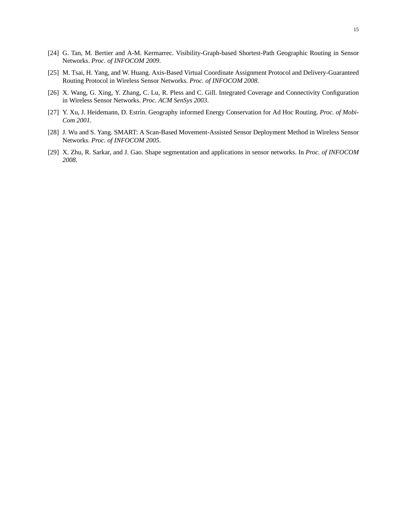- [24] G. Tan, M. Bertier and A-M. Kermarrec. Visibility-Graph-based Shortest-Path Geographic Routing in Sensor Networks. *Proc. of INFOCOM 2009*.
- [25] M. Tsai, H. Yang, and W. Huang. Axis-Based Virtual Coordinate Assignment Protocol and Delivery-Guaranteed Routing Protocol in Wireless Sensor Networks. *Proc. of INFOCOM 2008*.
- [26] X. Wang, G. Xing, Y. Zhang, C. Lu, R. Pless and C. Gill. Integrated Coverage and Connectivity Configuration in Wireless Sensor Networks. *Proc. ACM SenSys 2003*.
- [27] Y. Xu, J. Heidemann, D. Estrin. Geography informed Energy Conservation for Ad Hoc Routing. *Proc. of Mobi-Com 2001*.
- [28] J. Wu and S. Yang. SMART: A Scan-Based Movement-Assisted Sensor Deployment Method in Wireless Sensor Networks. *Proc. of INFOCOM 2005*.
- [29] X. Zhu, R. Sarkar, and J. Gao. Shape segmentation and applications in sensor networks. In *Proc. of INFOCOM 2008*.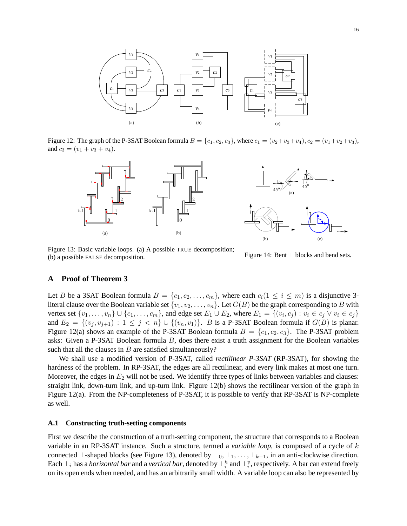

Figure 12: The graph of the P-3SAT Boolean formula  $B = \{c_1, c_2, c_3\}$ , where  $c_1 = (\overline{v_2} + v_3 + \overline{v_4})$ ,  $c_2 = (\overline{v_1} + v_2 + v_3)$ , and  $c_3 = (v_1 + v_3 + v_4)$ .



Figure 13: Basic variable loops. (a) A possible TRUE decomposition; (b) a possible FALSE decomposition.

Figure 14: Bent ⊥ blocks and bend sets.

#### **A Proof of Theorem 3**

Let B be a 3SAT Boolean formula  $B = \{c_1, c_2, \ldots, c_m\}$ , where each  $c_i(1 \leq i \leq m)$  is a disjunctive 3literal clause over the Boolean variable set  $\{v_1, v_2, \ldots, v_n\}$ . Let  $G(B)$  be the graph corresponding to B with vertex set  $\{v_1,\ldots,v_n\} \cup \{c_1,\ldots,c_m\}$ , and edge set  $E_1 \cup E_2$ , where  $E_1 = \{(v_i,c_j) : v_i \in c_j \vee \overline{v_i} \in c_j\}$ and  $E_2 = \{(v_i, v_{i+1}) : 1 \leq j < n\} \cup \{(v_n, v_1)\}\)$ . B is a P-3SAT Boolean formula if  $G(B)$  is planar. Figure 12(a) shows an example of the P-3SAT Boolean formula  $B = \{c_1, c_2, c_3\}$ . The P-3SAT problem asks: Given a P-3SAT Boolean formula B, does there exist a truth assignment for the Boolean variables such that all the clauses in  $B$  are satisfied simultaneously?

We shall use a modified version of P-3SAT, called *rectilinear P-3SAT* (RP-3SAT), for showing the hardness of the problem. In RP-3SAT, the edges are all rectilinear, and every link makes at most one turn. Moreover, the edges in  $E_2$  will not be used. We identify three types of links between variables and clauses: straight link, down-turn link, and up-turn link. Figure 12(b) shows the rectilinear version of the graph in Figure 12(a). From the NP-completeness of P-3SAT, it is possible to verify that RP-3SAT is NP-complete as well.

#### **A.1 Constructing truth-setting components**

First we describe the construction of a truth-setting component, the structure that corresponds to a Boolean variable in an RP-3SAT instance. Such a structure, termed a *variable loop*, is composed of a cycle of k connected ⊥-shaped blocks (see Figure 13), denoted by  $\bot_0, \bot_1, \ldots, \bot_{k-1}$ , in an anti-clockwise direction. Each  $\perp_i$  has a *horizontal bar* and a *vertical bar*, denoted by  $\perp_i^h$  and  $\perp_i^v$ , respectively. A bar can extend freely on its open ends when needed, and has an arbitrarily small width. A variable loop can also be represented by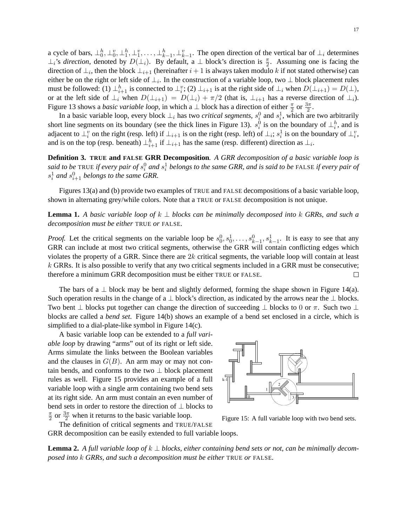a cycle of bars,  $\perp_0^h$ ,  $\perp_0^v$ ,  $\perp_1^h$ ,  $\perp_1^v$ , ...,  $\perp_{k-1}^h$ ,  $\perp_{k-1}^v$ . The open direction of the vertical bar of  $\perp_i$  determines  $\perp_i$ 's *direction*, denoted by  $D(\perp_i)$ . By default, a  $\perp$  block's direction is  $\frac{\pi}{2}$ . Assuming one is facing the direction of  $\perp_i$ , then the block  $\perp_{i+1}$  (hereinafter  $i+1$  is always taken modulo k if not stated otherwise) can either be on the right or left side of  $\perp_i$ . In the construction of a variable loop, two  $\perp$  block placement rules must be followed: (1)  $\perp_{i+1}^h$  is connected to  $\perp_i^v$ ; (2)  $\perp_{i+1}$  is at the right side of  $\perp_i$  when  $D(\perp_{i+1}) = D(\perp)$ , or at the left side of  $\perp_i$  when  $D(\perp_{i+1}) = D(\perp_i) + \pi/2$  (that is,  $\perp_{i+1}$  has a reverse direction of  $\perp_i$ ). Figure 13 shows a *basic variable loop*, in which a  $\perp$  block has a direction of either  $\frac{\pi}{2}$  or  $\frac{3\pi}{2}$ .

In a basic variable loop, every block  $\perp_i$  has two *critical segments*,  $s_i^0$  and  $s_i^1$ , which are two arbitrarily short line segments on its boundary (see the thick lines in Figure 13).  $s_i^0$  is on the boundary of  $\perp_i^h$ , and is adjacent to  $\perp_i^v$  on the right (resp. left) if  $\perp_{i+1}$  is on the right (resp. left) of  $\perp_i$ ;  $s_i^1$  is on the boundary of  $\perp_i^v$ , and is on the top (resp. beneath)  $\perp_{i+1}^h$  if  $\perp_{i+1}$  has the same (resp. different) direction as  $\perp_i$ .

**Definition 3. TRUE and FALSE GRR Decomposition***. A GRR decomposition of a basic variable loop is* said to be TRUE if every pair of  $s_i^0$  and  $s_i^1$  belongs to the same GRR, and is said to be FALSE if every pair of  $s_i^1$  and  $s_{i+1}^0$  belongs to the same GRR.

Figures 13(a) and (b) provide two examples of TRUE and FALSE decompositions of a basic variable loop, shown in alternating grey/while colors. Note that a TRUE or FALSE decomposition is not unique.

**Lemma 1.** *A basic variable loop of* k ⊥ *blocks can be minimally decomposed into* k *GRRs, and such a decomposition must be either* TRUE *or* FALSE*.*

*Proof.* Let the critical segments on the variable loop be  $s_0^0, s_0^1, \ldots, s_{k-1}^0, s_{k-1}^1$ . It is easy to see that any GRR can include at most two critical segments, otherwise the GRR will contain conflicting edges which violates the property of a GRR. Since there are 2k critical segments, the variable loop will contain at least  $k$  GRRs. It is also possible to verify that any two critical segments included in a GRR must be consecutive; therefore a minimum GRR decomposition must be either TRUE or FALSE.  $\Box$ 

The bars of a  $\perp$  block may be bent and slightly deformed, forming the shape shown in Figure 14(a). Such operation results in the change of a  $\perp$  block's direction, as indicated by the arrows near the  $\perp$  blocks. Two bent  $\perp$  blocks put together can change the direction of succeeding  $\perp$  blocks to 0 or  $\pi$ . Such two  $\perp$ blocks are called a *bend set*. Figure 14(b) shows an example of a bend set enclosed in a circle, which is simplified to a dial-plate-like symbol in Figure 14(c).

A basic variable loop can be extended to a *full variable loop* by drawing "arms" out of its right or left side. Arms simulate the links between the Boolean variables and the clauses in  $G(B)$ . An arm may or may not contain bends, and conforms to the two  $\perp$  block placement rules as well. Figure 15 provides an example of a full variable loop with a single arm containing two bend sets at its right side. An arm must contain an even number of bend sets in order to restore the direction of ⊥ blocks to π  $\frac{\pi}{2}$  or  $\frac{3\pi}{2}$  when it returns to the basic variable loop.



Figure 15: A full variable loop with two bend sets.

The definition of critical segments and TRUE/FALSE GRR decomposition can be easily extended to full variable loops.

**Lemma 2.** *A full variable loop of*  $k \perp$  *blocks, either containing bend sets or not, can be minimally decomposed into* k *GRRs, and such a decomposition must be either* TRUE *or* FALSE*.*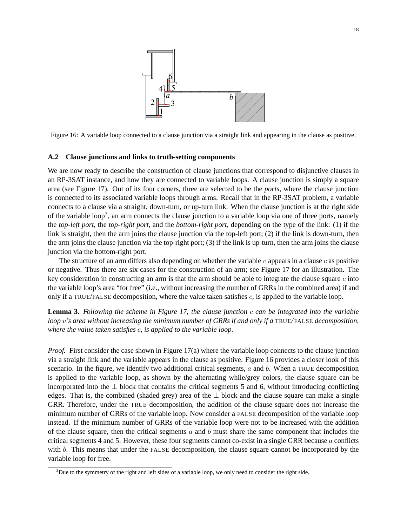

Figure 16: A variable loop connected to a clause junction via a straight link and appearing in the clause as positive.

#### **A.2 Clause junctions and links to truth-setting components**

We are now ready to describe the construction of clause junctions that correspond to disjunctive clauses in an RP-3SAT instance, and how they are connected to variable loops. A clause junction is simply a square area (see Figure 17). Out of its four corners, three are selected to be the *ports*, where the clause junction is connected to its associated variable loops through arms. Recall that in the RP-3SAT problem, a variable connects to a clause via a straight, down-turn, or up-turn link. When the clause junction is at the right side of the variable loop<sup>3</sup>, an arm connects the clause junction to a variable loop via one of three ports, namely the *top-left port*, the *top-right port*, and the *bottom-right port*, depending on the type of the link: (1) if the link is straight, then the arm joins the clause junction via the top-left port; (2) if the link is down-turn, then the arm joins the clause junction via the top-right port; (3) if the link is up-turn, then the arm joins the clause junction via the bottom-right port.

The structure of an arm differs also depending on whether the variable v appears in a clause c as positive or negative. Thus there are six cases for the construction of an arm; see Figure 17 for an illustration. The key consideration in constructing an arm is that the arm should be able to integrate the clause square  $c$  into the variable loop's area "for free" (i.e., without increasing the number of GRRs in the combined area) if and only if a TRUE/FALSE decomposition, where the value taken satisfies  $c$ , is applied to the variable loop.

**Lemma 3.** *Following the scheme in Figure 17, the clause junction* c *can be integrated into the variable loop* v*'s area without increasing the minimum number of GRRs if and only if a* TRUE*/* FALSE *decomposition, where the value taken satisfies* c*, is applied to the variable loop.*

*Proof.* First consider the case shown in Figure 17(a) where the variable loop connects to the clause junction via a straight link and the variable appears in the clause as positive. Figure 16 provides a closer look of this scenario. In the figure, we identify two additional critical segments,  $a$  and  $b$ . When a TRUE decomposition is applied to the variable loop, as shown by the alternating while/grey colors, the clause square can be incorporated into the  $\perp$  block that contains the critical segments 5 and 6, without introducing conflicting edges. That is, the combined (shaded grey) area of the  $\perp$  block and the clause square can make a single GRR. Therefore, under the TRUE decomposition, the addition of the clause square does not increase the minimum number of GRRs of the variable loop. Now consider a FALSE decomposition of the variable loop instead. If the minimum number of GRRs of the variable loop were not to be increased with the addition of the clause square, then the critical segments  $a$  and  $b$  must share the same component that includes the critical segments 4 and 5. However, these four segments cannot co-exist in a single GRR because a conflicts with b. This means that under the FALSE decomposition, the clause square cannot be incorporated by the variable loop for free.

<sup>&</sup>lt;sup>3</sup>Due to the symmetry of the right and left sides of a variable loop, we only need to consider the right side.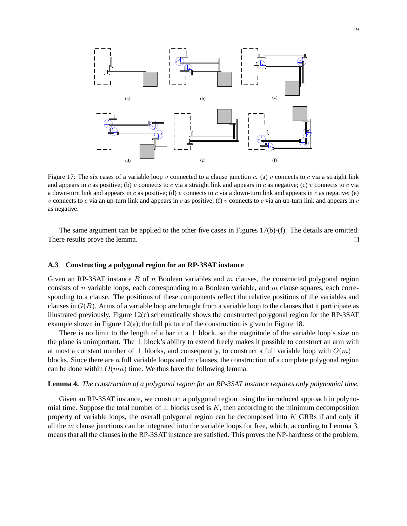

Figure 17: The six cases of a variable loop v connected to a clause junction c. (a) v connects to c via a straight link and appears in c as positive; (b) v connects to c via a straight link and appears in c as negative; (c) v connects to c via a down-turn link and appears in c as positive; (d) v connects to c via a down-turn link and appears in c as negative; (e) v connects to c via an up-turn link and appears in c as positive; (f) v connects to c via an up-turn link and appears in c as negative.

The same argument can be applied to the other five cases in Figures 17(b)-(f). The details are omitted. There results prove the lemma.  $\Box$ 

#### **A.3 Constructing a polygonal region for an RP-3SAT instance**

Given an RP-3SAT instance  $B$  of  $n$  Boolean variables and  $m$  clauses, the constructed polygonal region consists of n variable loops, each corresponding to a Boolean variable, and  $m$  clause squares, each corresponding to a clause. The positions of these components reflect the relative positions of the variables and clauses in  $G(B)$ . Arms of a variable loop are brought from a variable loop to the clauses that it participate as illustrated previously. Figure 12(c) schematically shows the constructed polygonal region for the RP-3SAT example shown in Figure  $12(a)$ ; the full picture of the construction is given in Figure 18.

There is no limit to the length of a bar in a  $\perp$  block, so the magnitude of the variable loop's size on the plane is unimportant. The  $\perp$  block's ability to extend freely makes it possible to construct an arm with at most a constant number of  $\perp$  blocks, and consequently, to construct a full variable loop with  $O(m)$   $\perp$ blocks. Since there are n full variable loops and m clauses, the construction of a complete polygonal region can be done within  $O(mn)$  time. We thus have the following lemma.

#### **Lemma 4.** *The construction of a polygonal region for an RP-3SAT instance requires only polynomial time.*

Given an RP-3SAT instance, we construct a polygonal region using the introduced approach in polynomial time. Suppose the total number of  $\perp$  blocks used is K, then according to the minimum decomposition property of variable loops, the overall polygonal region can be decomposed into  $K$  GRRs if and only if all the  $m$  clause junctions can be integrated into the variable loops for free, which, according to Lemma 3, means that all the clauses in the RP-3SAT instance are satisfied. This proves the NP-hardness of the problem.